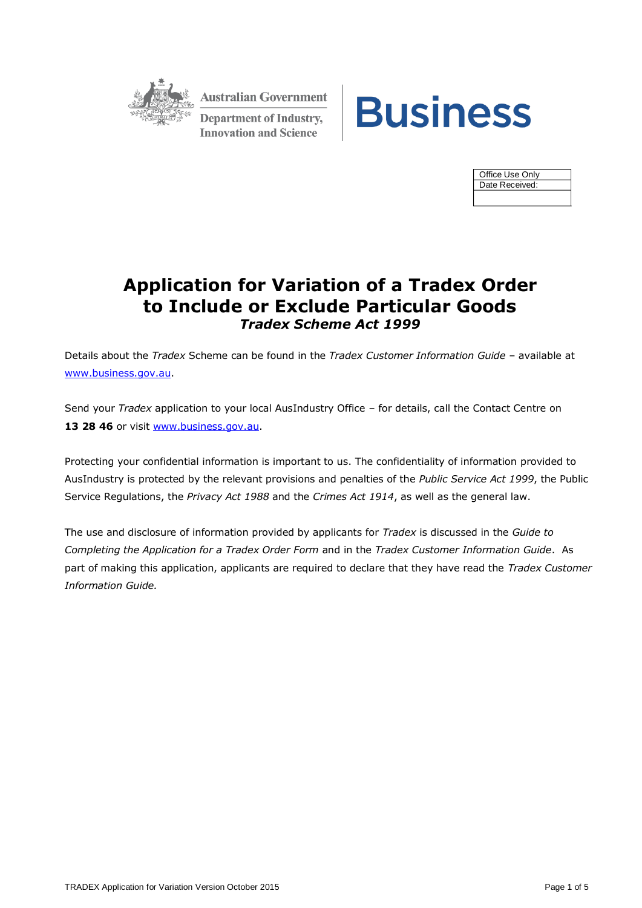

**Australian Government Department of Industry, Innovation and Science** 



| Office Use Only |  |  |  |
|-----------------|--|--|--|
| Date Received:  |  |  |  |
|                 |  |  |  |

# **Application for Variation of a Tradex Order to Include or Exclude Particular Goods** *Tradex Scheme Act 1999*

Details about the *Tradex* Scheme can be found in the *Tradex Customer Information Guide* – available at [www.business.gov.au.](http://www.business.gov.au/)

Send your *Tradex* application to your local AusIndustry Office – for details, call the Contact Centre on 13 28 46 or visit [www.business.gov.au.](http://www.business.gov.au/)

Protecting your confidential information is important to us. The confidentiality of information provided to AusIndustry is protected by the relevant provisions and penalties of the *Public Service Act 1999*, the Public Service Regulations, the *Privacy Act 1988* and the *Crimes Act 1914*, as well as the general law.

The use and disclosure of information provided by applicants for *Tradex* is discussed in the *Guide to Completing the Application for a Tradex Order Form* and in the *Tradex Customer Information Guide*. As part of making this application, applicants are required to declare that they have read the *Tradex Customer Information Guide.*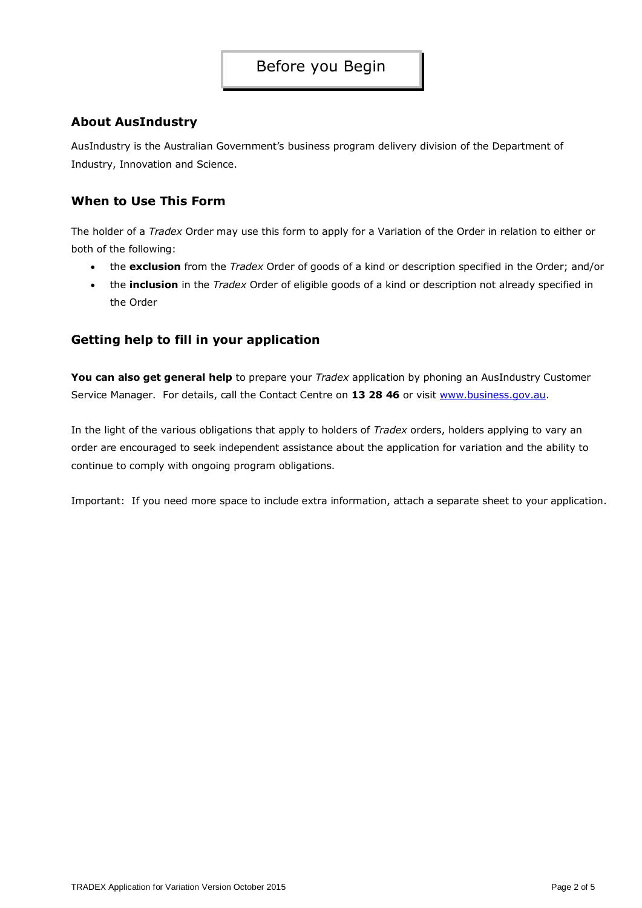### Before you Begin

### **About AusIndustry**

AusIndustry is the Australian Government's business program delivery division of the Department of Industry, Innovation and Science.

### **When to Use This Form**

The holder of a *Tradex* Order may use this form to apply for a Variation of the Order in relation to either or both of the following:

- the **exclusion** from the *Tradex* Order of goods of a kind or description specified in the Order; and/or
- the **inclusion** in the *Tradex* Order of eligible goods of a kind or description not already specified in the Order

### **Getting help to fill in your application**

**You can also get general help** to prepare your *Tradex* application by phoning an AusIndustry Customer Service Manager. For details, call the Contact Centre on 13 28 46 or visit [www.business.gov.au.](http://www.business.gov.au/)

In the light of the various obligations that apply to holders of *Tradex* orders, holders applying to vary an order are encouraged to seek independent assistance about the application for variation and the ability to continue to comply with ongoing program obligations.

Important: If you need more space to include extra information, attach a separate sheet to your application.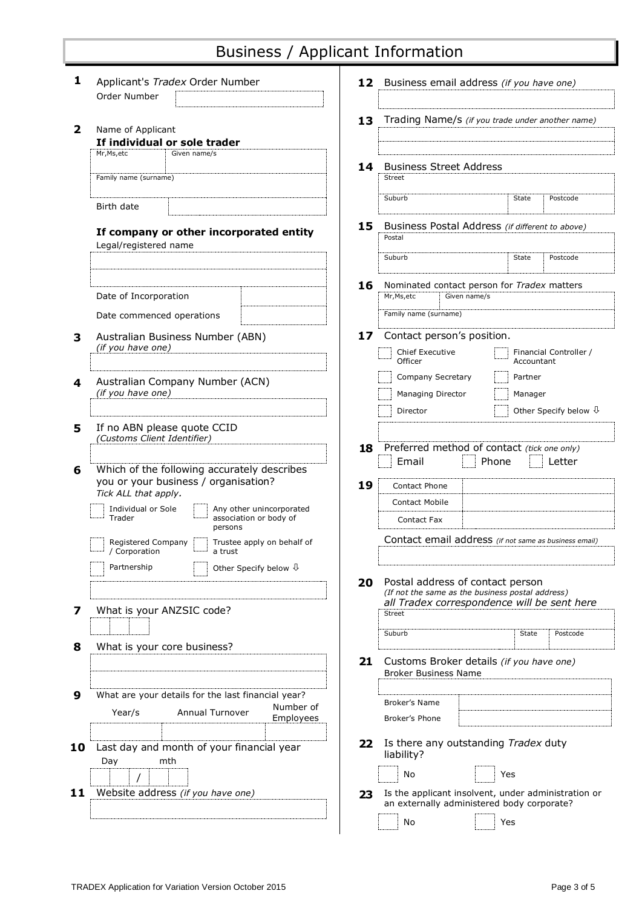# Business / Applicant Information

| Order Number<br>Trading Name/s (if you trade under another name)<br>13<br>$\overline{\mathbf{2}}$<br>Name of Applicant<br>If individual or sole trader<br>Mr, Ms, etc<br>Given name/s<br><b>Business Street Address</b><br>14<br><b>Street</b><br>Family name (surname)<br>Postcode<br>Suburb<br>State<br>Birth date<br>Business Postal Address (if different to above)<br>15<br>If company or other incorporated entity<br>Postal<br>Legal/registered name<br>Suburb<br>State<br>Postcode<br>16<br>Nominated contact person for <i>Tradex</i> matters<br>Date of Incorporation<br>Mr, Ms, etc<br>Given name/s<br>Family name (surname)<br>Date commenced operations<br>17<br>Contact person's position.<br>Australian Business Number (ABN)<br>3<br>(if you have one)<br>Chief Executive<br>Financial Controller /<br>Officer<br>Accountant<br>Company Secretary<br>Partner<br>Australian Company Number (ACN)<br>4<br>(if you have one)<br>Managing Director<br>Manager<br>Director<br>Other Specify below $\sqrt{1}$<br>If no ABN please quote CCID<br>5<br>(Customs Client Identifier)<br>Preferred method of contact (tick one only)<br>18<br>Email<br>Phone<br>Letter<br>Which of the following accurately describes<br>6<br>you or your business / organisation?<br>19<br>Contact Phone<br>Tick ALL that apply.<br><b>Contact Mobile</b><br>Individual or Sole<br>Any other unincorporated<br>Trader<br>association or body of<br>Contact Fax<br>persons<br>Contact email address (if not same as business email)<br>Trustee apply on behalf of<br>Registered Company<br>Corporation<br>a trust<br>Partnership<br>Other Specify below $\sqrt{1}$<br>Postal address of contact person<br>20<br>(If not the same as the business postal address)<br>all Tradex correspondence will be sent here<br>What is your ANZSIC code?<br>7<br><b>Street</b><br>Suburb<br>Postcode<br>State<br>What is your core business?<br>8<br>Customs Broker details (if you have one)<br>21<br><b>Broker Business Name</b><br>9<br>What are your details for the last financial year?<br>Broker's Name<br>Number of<br>Annual Turnover<br>Year/s<br>Employees<br>Broker's Phone<br>Is there any outstanding Tradex duty<br>22<br>Last day and month of your financial year<br>10<br>liability?<br>mth<br>Day<br>No<br>Yes<br>Website address (if you have one)<br>Is the applicant insolvent, under administration or<br>11<br>23<br>an externally administered body corporate?<br>No<br>Yes | 1 | Applicant's Tradex Order Number |  | 12 Business email address (if you have one) |  |  |  |
|-------------------------------------------------------------------------------------------------------------------------------------------------------------------------------------------------------------------------------------------------------------------------------------------------------------------------------------------------------------------------------------------------------------------------------------------------------------------------------------------------------------------------------------------------------------------------------------------------------------------------------------------------------------------------------------------------------------------------------------------------------------------------------------------------------------------------------------------------------------------------------------------------------------------------------------------------------------------------------------------------------------------------------------------------------------------------------------------------------------------------------------------------------------------------------------------------------------------------------------------------------------------------------------------------------------------------------------------------------------------------------------------------------------------------------------------------------------------------------------------------------------------------------------------------------------------------------------------------------------------------------------------------------------------------------------------------------------------------------------------------------------------------------------------------------------------------------------------------------------------------------------------------------------------------------------------------------------------------------------------------------------------------------------------------------------------------------------------------------------------------------------------------------------------------------------------------------------------------------------------------------------------------------------------------------------------------------------------------------------------------------------------------------------------------------------------------------------------------------|---|---------------------------------|--|---------------------------------------------|--|--|--|
|                                                                                                                                                                                                                                                                                                                                                                                                                                                                                                                                                                                                                                                                                                                                                                                                                                                                                                                                                                                                                                                                                                                                                                                                                                                                                                                                                                                                                                                                                                                                                                                                                                                                                                                                                                                                                                                                                                                                                                                                                                                                                                                                                                                                                                                                                                                                                                                                                                                                               |   |                                 |  |                                             |  |  |  |
|                                                                                                                                                                                                                                                                                                                                                                                                                                                                                                                                                                                                                                                                                                                                                                                                                                                                                                                                                                                                                                                                                                                                                                                                                                                                                                                                                                                                                                                                                                                                                                                                                                                                                                                                                                                                                                                                                                                                                                                                                                                                                                                                                                                                                                                                                                                                                                                                                                                                               |   |                                 |  |                                             |  |  |  |
|                                                                                                                                                                                                                                                                                                                                                                                                                                                                                                                                                                                                                                                                                                                                                                                                                                                                                                                                                                                                                                                                                                                                                                                                                                                                                                                                                                                                                                                                                                                                                                                                                                                                                                                                                                                                                                                                                                                                                                                                                                                                                                                                                                                                                                                                                                                                                                                                                                                                               |   |                                 |  |                                             |  |  |  |
|                                                                                                                                                                                                                                                                                                                                                                                                                                                                                                                                                                                                                                                                                                                                                                                                                                                                                                                                                                                                                                                                                                                                                                                                                                                                                                                                                                                                                                                                                                                                                                                                                                                                                                                                                                                                                                                                                                                                                                                                                                                                                                                                                                                                                                                                                                                                                                                                                                                                               |   |                                 |  |                                             |  |  |  |
|                                                                                                                                                                                                                                                                                                                                                                                                                                                                                                                                                                                                                                                                                                                                                                                                                                                                                                                                                                                                                                                                                                                                                                                                                                                                                                                                                                                                                                                                                                                                                                                                                                                                                                                                                                                                                                                                                                                                                                                                                                                                                                                                                                                                                                                                                                                                                                                                                                                                               |   |                                 |  |                                             |  |  |  |
|                                                                                                                                                                                                                                                                                                                                                                                                                                                                                                                                                                                                                                                                                                                                                                                                                                                                                                                                                                                                                                                                                                                                                                                                                                                                                                                                                                                                                                                                                                                                                                                                                                                                                                                                                                                                                                                                                                                                                                                                                                                                                                                                                                                                                                                                                                                                                                                                                                                                               |   |                                 |  |                                             |  |  |  |
|                                                                                                                                                                                                                                                                                                                                                                                                                                                                                                                                                                                                                                                                                                                                                                                                                                                                                                                                                                                                                                                                                                                                                                                                                                                                                                                                                                                                                                                                                                                                                                                                                                                                                                                                                                                                                                                                                                                                                                                                                                                                                                                                                                                                                                                                                                                                                                                                                                                                               |   |                                 |  |                                             |  |  |  |
|                                                                                                                                                                                                                                                                                                                                                                                                                                                                                                                                                                                                                                                                                                                                                                                                                                                                                                                                                                                                                                                                                                                                                                                                                                                                                                                                                                                                                                                                                                                                                                                                                                                                                                                                                                                                                                                                                                                                                                                                                                                                                                                                                                                                                                                                                                                                                                                                                                                                               |   |                                 |  |                                             |  |  |  |
|                                                                                                                                                                                                                                                                                                                                                                                                                                                                                                                                                                                                                                                                                                                                                                                                                                                                                                                                                                                                                                                                                                                                                                                                                                                                                                                                                                                                                                                                                                                                                                                                                                                                                                                                                                                                                                                                                                                                                                                                                                                                                                                                                                                                                                                                                                                                                                                                                                                                               |   |                                 |  |                                             |  |  |  |
|                                                                                                                                                                                                                                                                                                                                                                                                                                                                                                                                                                                                                                                                                                                                                                                                                                                                                                                                                                                                                                                                                                                                                                                                                                                                                                                                                                                                                                                                                                                                                                                                                                                                                                                                                                                                                                                                                                                                                                                                                                                                                                                                                                                                                                                                                                                                                                                                                                                                               |   |                                 |  |                                             |  |  |  |
|                                                                                                                                                                                                                                                                                                                                                                                                                                                                                                                                                                                                                                                                                                                                                                                                                                                                                                                                                                                                                                                                                                                                                                                                                                                                                                                                                                                                                                                                                                                                                                                                                                                                                                                                                                                                                                                                                                                                                                                                                                                                                                                                                                                                                                                                                                                                                                                                                                                                               |   |                                 |  |                                             |  |  |  |
|                                                                                                                                                                                                                                                                                                                                                                                                                                                                                                                                                                                                                                                                                                                                                                                                                                                                                                                                                                                                                                                                                                                                                                                                                                                                                                                                                                                                                                                                                                                                                                                                                                                                                                                                                                                                                                                                                                                                                                                                                                                                                                                                                                                                                                                                                                                                                                                                                                                                               |   |                                 |  |                                             |  |  |  |
|                                                                                                                                                                                                                                                                                                                                                                                                                                                                                                                                                                                                                                                                                                                                                                                                                                                                                                                                                                                                                                                                                                                                                                                                                                                                                                                                                                                                                                                                                                                                                                                                                                                                                                                                                                                                                                                                                                                                                                                                                                                                                                                                                                                                                                                                                                                                                                                                                                                                               |   |                                 |  |                                             |  |  |  |
|                                                                                                                                                                                                                                                                                                                                                                                                                                                                                                                                                                                                                                                                                                                                                                                                                                                                                                                                                                                                                                                                                                                                                                                                                                                                                                                                                                                                                                                                                                                                                                                                                                                                                                                                                                                                                                                                                                                                                                                                                                                                                                                                                                                                                                                                                                                                                                                                                                                                               |   |                                 |  |                                             |  |  |  |
|                                                                                                                                                                                                                                                                                                                                                                                                                                                                                                                                                                                                                                                                                                                                                                                                                                                                                                                                                                                                                                                                                                                                                                                                                                                                                                                                                                                                                                                                                                                                                                                                                                                                                                                                                                                                                                                                                                                                                                                                                                                                                                                                                                                                                                                                                                                                                                                                                                                                               |   |                                 |  |                                             |  |  |  |
|                                                                                                                                                                                                                                                                                                                                                                                                                                                                                                                                                                                                                                                                                                                                                                                                                                                                                                                                                                                                                                                                                                                                                                                                                                                                                                                                                                                                                                                                                                                                                                                                                                                                                                                                                                                                                                                                                                                                                                                                                                                                                                                                                                                                                                                                                                                                                                                                                                                                               |   |                                 |  |                                             |  |  |  |
|                                                                                                                                                                                                                                                                                                                                                                                                                                                                                                                                                                                                                                                                                                                                                                                                                                                                                                                                                                                                                                                                                                                                                                                                                                                                                                                                                                                                                                                                                                                                                                                                                                                                                                                                                                                                                                                                                                                                                                                                                                                                                                                                                                                                                                                                                                                                                                                                                                                                               |   |                                 |  |                                             |  |  |  |
|                                                                                                                                                                                                                                                                                                                                                                                                                                                                                                                                                                                                                                                                                                                                                                                                                                                                                                                                                                                                                                                                                                                                                                                                                                                                                                                                                                                                                                                                                                                                                                                                                                                                                                                                                                                                                                                                                                                                                                                                                                                                                                                                                                                                                                                                                                                                                                                                                                                                               |   |                                 |  |                                             |  |  |  |
|                                                                                                                                                                                                                                                                                                                                                                                                                                                                                                                                                                                                                                                                                                                                                                                                                                                                                                                                                                                                                                                                                                                                                                                                                                                                                                                                                                                                                                                                                                                                                                                                                                                                                                                                                                                                                                                                                                                                                                                                                                                                                                                                                                                                                                                                                                                                                                                                                                                                               |   |                                 |  |                                             |  |  |  |
|                                                                                                                                                                                                                                                                                                                                                                                                                                                                                                                                                                                                                                                                                                                                                                                                                                                                                                                                                                                                                                                                                                                                                                                                                                                                                                                                                                                                                                                                                                                                                                                                                                                                                                                                                                                                                                                                                                                                                                                                                                                                                                                                                                                                                                                                                                                                                                                                                                                                               |   |                                 |  |                                             |  |  |  |
|                                                                                                                                                                                                                                                                                                                                                                                                                                                                                                                                                                                                                                                                                                                                                                                                                                                                                                                                                                                                                                                                                                                                                                                                                                                                                                                                                                                                                                                                                                                                                                                                                                                                                                                                                                                                                                                                                                                                                                                                                                                                                                                                                                                                                                                                                                                                                                                                                                                                               |   |                                 |  |                                             |  |  |  |
|                                                                                                                                                                                                                                                                                                                                                                                                                                                                                                                                                                                                                                                                                                                                                                                                                                                                                                                                                                                                                                                                                                                                                                                                                                                                                                                                                                                                                                                                                                                                                                                                                                                                                                                                                                                                                                                                                                                                                                                                                                                                                                                                                                                                                                                                                                                                                                                                                                                                               |   |                                 |  |                                             |  |  |  |
|                                                                                                                                                                                                                                                                                                                                                                                                                                                                                                                                                                                                                                                                                                                                                                                                                                                                                                                                                                                                                                                                                                                                                                                                                                                                                                                                                                                                                                                                                                                                                                                                                                                                                                                                                                                                                                                                                                                                                                                                                                                                                                                                                                                                                                                                                                                                                                                                                                                                               |   |                                 |  |                                             |  |  |  |
|                                                                                                                                                                                                                                                                                                                                                                                                                                                                                                                                                                                                                                                                                                                                                                                                                                                                                                                                                                                                                                                                                                                                                                                                                                                                                                                                                                                                                                                                                                                                                                                                                                                                                                                                                                                                                                                                                                                                                                                                                                                                                                                                                                                                                                                                                                                                                                                                                                                                               |   |                                 |  |                                             |  |  |  |
|                                                                                                                                                                                                                                                                                                                                                                                                                                                                                                                                                                                                                                                                                                                                                                                                                                                                                                                                                                                                                                                                                                                                                                                                                                                                                                                                                                                                                                                                                                                                                                                                                                                                                                                                                                                                                                                                                                                                                                                                                                                                                                                                                                                                                                                                                                                                                                                                                                                                               |   |                                 |  |                                             |  |  |  |
|                                                                                                                                                                                                                                                                                                                                                                                                                                                                                                                                                                                                                                                                                                                                                                                                                                                                                                                                                                                                                                                                                                                                                                                                                                                                                                                                                                                                                                                                                                                                                                                                                                                                                                                                                                                                                                                                                                                                                                                                                                                                                                                                                                                                                                                                                                                                                                                                                                                                               |   |                                 |  |                                             |  |  |  |
|                                                                                                                                                                                                                                                                                                                                                                                                                                                                                                                                                                                                                                                                                                                                                                                                                                                                                                                                                                                                                                                                                                                                                                                                                                                                                                                                                                                                                                                                                                                                                                                                                                                                                                                                                                                                                                                                                                                                                                                                                                                                                                                                                                                                                                                                                                                                                                                                                                                                               |   |                                 |  |                                             |  |  |  |
|                                                                                                                                                                                                                                                                                                                                                                                                                                                                                                                                                                                                                                                                                                                                                                                                                                                                                                                                                                                                                                                                                                                                                                                                                                                                                                                                                                                                                                                                                                                                                                                                                                                                                                                                                                                                                                                                                                                                                                                                                                                                                                                                                                                                                                                                                                                                                                                                                                                                               |   |                                 |  |                                             |  |  |  |
|                                                                                                                                                                                                                                                                                                                                                                                                                                                                                                                                                                                                                                                                                                                                                                                                                                                                                                                                                                                                                                                                                                                                                                                                                                                                                                                                                                                                                                                                                                                                                                                                                                                                                                                                                                                                                                                                                                                                                                                                                                                                                                                                                                                                                                                                                                                                                                                                                                                                               |   |                                 |  |                                             |  |  |  |
|                                                                                                                                                                                                                                                                                                                                                                                                                                                                                                                                                                                                                                                                                                                                                                                                                                                                                                                                                                                                                                                                                                                                                                                                                                                                                                                                                                                                                                                                                                                                                                                                                                                                                                                                                                                                                                                                                                                                                                                                                                                                                                                                                                                                                                                                                                                                                                                                                                                                               |   |                                 |  |                                             |  |  |  |
|                                                                                                                                                                                                                                                                                                                                                                                                                                                                                                                                                                                                                                                                                                                                                                                                                                                                                                                                                                                                                                                                                                                                                                                                                                                                                                                                                                                                                                                                                                                                                                                                                                                                                                                                                                                                                                                                                                                                                                                                                                                                                                                                                                                                                                                                                                                                                                                                                                                                               |   |                                 |  |                                             |  |  |  |
|                                                                                                                                                                                                                                                                                                                                                                                                                                                                                                                                                                                                                                                                                                                                                                                                                                                                                                                                                                                                                                                                                                                                                                                                                                                                                                                                                                                                                                                                                                                                                                                                                                                                                                                                                                                                                                                                                                                                                                                                                                                                                                                                                                                                                                                                                                                                                                                                                                                                               |   |                                 |  |                                             |  |  |  |
|                                                                                                                                                                                                                                                                                                                                                                                                                                                                                                                                                                                                                                                                                                                                                                                                                                                                                                                                                                                                                                                                                                                                                                                                                                                                                                                                                                                                                                                                                                                                                                                                                                                                                                                                                                                                                                                                                                                                                                                                                                                                                                                                                                                                                                                                                                                                                                                                                                                                               |   |                                 |  |                                             |  |  |  |
|                                                                                                                                                                                                                                                                                                                                                                                                                                                                                                                                                                                                                                                                                                                                                                                                                                                                                                                                                                                                                                                                                                                                                                                                                                                                                                                                                                                                                                                                                                                                                                                                                                                                                                                                                                                                                                                                                                                                                                                                                                                                                                                                                                                                                                                                                                                                                                                                                                                                               |   |                                 |  |                                             |  |  |  |
|                                                                                                                                                                                                                                                                                                                                                                                                                                                                                                                                                                                                                                                                                                                                                                                                                                                                                                                                                                                                                                                                                                                                                                                                                                                                                                                                                                                                                                                                                                                                                                                                                                                                                                                                                                                                                                                                                                                                                                                                                                                                                                                                                                                                                                                                                                                                                                                                                                                                               |   |                                 |  |                                             |  |  |  |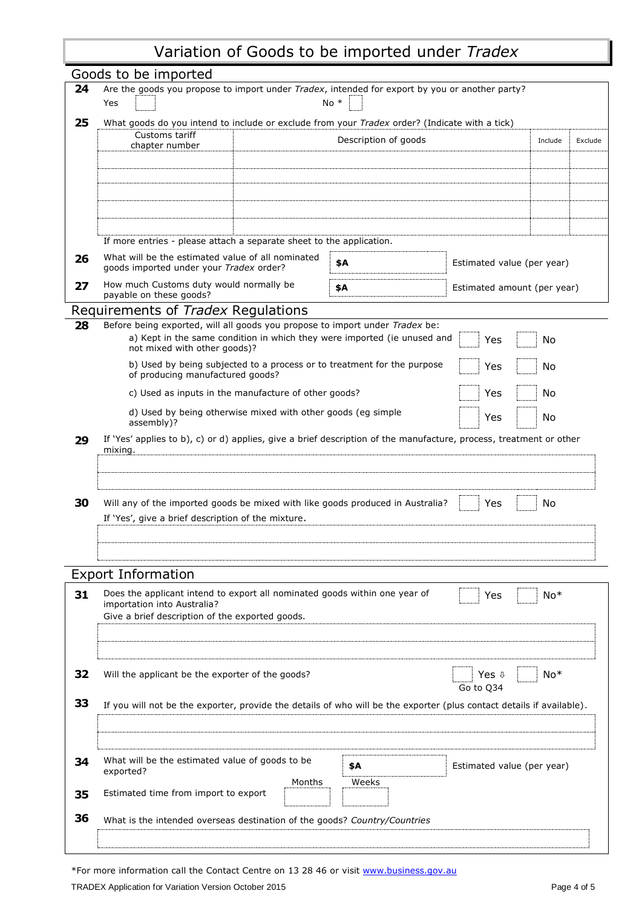# Variation of Goods to be imported under *Tradex*

|          | Goods to be imported<br>24<br>Are the goods you propose to import under Tradex, intended for export by you or another party? |                                                                                                                          |                             |       |  |  |  |  |
|----------|------------------------------------------------------------------------------------------------------------------------------|--------------------------------------------------------------------------------------------------------------------------|-----------------------------|-------|--|--|--|--|
|          | $No *$<br>Yes                                                                                                                |                                                                                                                          |                             |       |  |  |  |  |
| 25       | What goods do you intend to include or exclude from your Tradex order? (Indicate with a tick)                                |                                                                                                                          |                             |       |  |  |  |  |
|          | Customs tariff<br>Description of goods<br>chapter number                                                                     |                                                                                                                          |                             |       |  |  |  |  |
|          |                                                                                                                              |                                                                                                                          |                             |       |  |  |  |  |
|          |                                                                                                                              |                                                                                                                          |                             |       |  |  |  |  |
|          |                                                                                                                              |                                                                                                                          |                             |       |  |  |  |  |
|          |                                                                                                                              |                                                                                                                          |                             |       |  |  |  |  |
|          |                                                                                                                              |                                                                                                                          |                             |       |  |  |  |  |
|          | If more entries - please attach a separate sheet to the application.                                                         |                                                                                                                          |                             |       |  |  |  |  |
| 26       | What will be the estimated value of all nominated                                                                            |                                                                                                                          |                             |       |  |  |  |  |
|          | goods imported under your Tradex order?                                                                                      | \$Α                                                                                                                      | Estimated value (per year)  |       |  |  |  |  |
| 27       | How much Customs duty would normally be<br>payable on these goods?                                                           | \$Α                                                                                                                      | Estimated amount (per year) |       |  |  |  |  |
|          | Requirements of <i>Tradex</i> Regulations                                                                                    |                                                                                                                          |                             |       |  |  |  |  |
| 28       | Before being exported, will all goods you propose to import under Tradex be:                                                 |                                                                                                                          |                             |       |  |  |  |  |
|          | a) Kept in the same condition in which they were imported (ie unused and<br>not mixed with other goods)?                     |                                                                                                                          | Yes                         | No    |  |  |  |  |
|          | b) Used by being subjected to a process or to treatment for the purpose                                                      |                                                                                                                          | Yes                         | No    |  |  |  |  |
|          | of producing manufactured goods?                                                                                             |                                                                                                                          |                             |       |  |  |  |  |
|          | c) Used as inputs in the manufacture of other goods?                                                                         |                                                                                                                          | Yes                         | No    |  |  |  |  |
|          | d) Used by being otherwise mixed with other goods (eg simple<br>assembly)?                                                   |                                                                                                                          | Yes                         | No    |  |  |  |  |
|          |                                                                                                                              |                                                                                                                          |                             |       |  |  |  |  |
|          | mixing.                                                                                                                      | If 'Yes' applies to b), c) or d) applies, give a brief description of the manufacture, process, treatment or other<br>29 |                             |       |  |  |  |  |
|          |                                                                                                                              |                                                                                                                          |                             |       |  |  |  |  |
|          |                                                                                                                              |                                                                                                                          |                             |       |  |  |  |  |
|          |                                                                                                                              |                                                                                                                          |                             |       |  |  |  |  |
|          |                                                                                                                              |                                                                                                                          |                             |       |  |  |  |  |
|          | Will any of the imported goods be mixed with like goods produced in Australia?                                               |                                                                                                                          | Yes                         | No    |  |  |  |  |
|          | If 'Yes', give a brief description of the mixture.                                                                           |                                                                                                                          |                             |       |  |  |  |  |
|          |                                                                                                                              |                                                                                                                          |                             |       |  |  |  |  |
|          |                                                                                                                              |                                                                                                                          |                             |       |  |  |  |  |
|          | <b>Export Information</b>                                                                                                    |                                                                                                                          |                             |       |  |  |  |  |
|          | Does the applicant intend to export all nominated goods within one year of                                                   |                                                                                                                          | Yes                         | $No*$ |  |  |  |  |
|          | importation into Australia?                                                                                                  |                                                                                                                          |                             |       |  |  |  |  |
|          | Give a brief description of the exported goods.                                                                              |                                                                                                                          |                             |       |  |  |  |  |
| 30<br>31 |                                                                                                                              |                                                                                                                          |                             |       |  |  |  |  |
|          |                                                                                                                              |                                                                                                                          |                             |       |  |  |  |  |
|          | Will the applicant be the exporter of the goods?                                                                             |                                                                                                                          | Yes $\sqrt{ }$              | $No*$ |  |  |  |  |
|          |                                                                                                                              |                                                                                                                          | Go to Q34                   |       |  |  |  |  |
|          | If you will not be the exporter, provide the details of who will be the exporter (plus contact details if available).        |                                                                                                                          |                             |       |  |  |  |  |
| 32<br>33 |                                                                                                                              |                                                                                                                          |                             |       |  |  |  |  |
|          |                                                                                                                              |                                                                                                                          |                             |       |  |  |  |  |
|          |                                                                                                                              |                                                                                                                          |                             |       |  |  |  |  |
| 34       | What will be the estimated value of goods to be<br>exported?                                                                 | \$Α                                                                                                                      | Estimated value (per year)  |       |  |  |  |  |
|          | Months                                                                                                                       | Weeks                                                                                                                    |                             |       |  |  |  |  |
| 35<br>36 | Estimated time from import to export                                                                                         |                                                                                                                          |                             |       |  |  |  |  |

\*For more information call the Contact Centre on 13 28 46 or visit www.business.gov.au TRADEX Application for Variation Version October 2015 **Page 4 of 5** and 2015